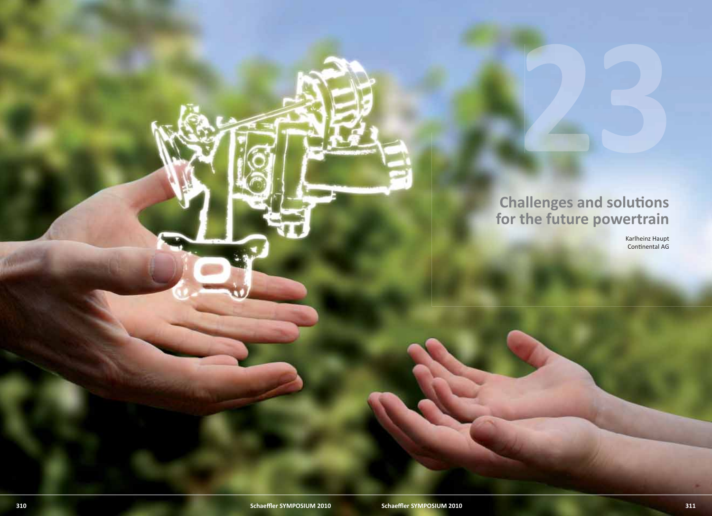# **Challenges and solutions for the future powertrain**

Karlheinz Haupt Continental AG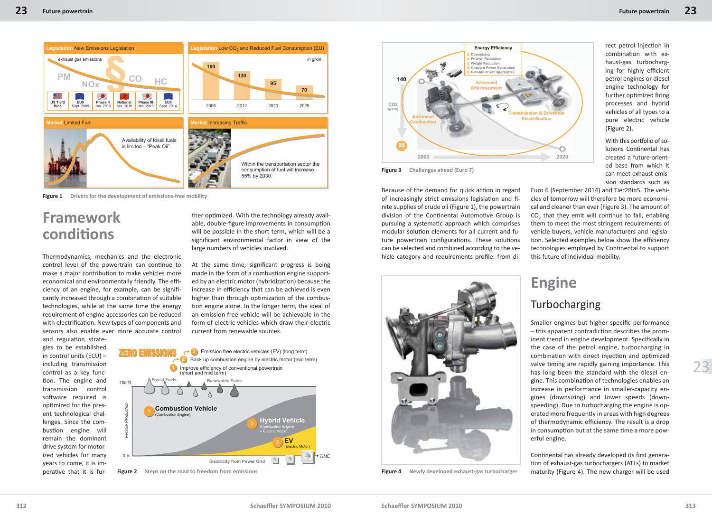

**Figure 1** Drivers for the development of emissions-free mobility

# **Framework conditi ons**

Thermodynamics, mechanics and the electronic control level of the powertrain can continue to make a major contribution to make vehicles more economical and environmentally friendly. The efficiency of an engine, for example, can be significantly increased through a combination of suitable technologies, while at the same time the energy requirement of engine accessories can be reduced with electrification. New types of components and sensors also enable ever more accurate control

and regulation strategies to be established in control units (ECU) – including transmission control as a key function. The engine and transmission control software required is optimized for the present technological challenges. Since the combustion engine will remain the dominant drive system for motorized vehicles for many years to come, it is imperative that it is further optimized. With the technology already available, double-figure improvements in consumption will be possible in the short term, which will be a significant environmental factor in view of the large numbers of vehicles involved.

At the same time, significant progress is being made in the form of a combustion engine supported by an electric motor (hybridization) because the increase in efficiency that can be achieved is even higher than through optimization of the combustion engine alone. In the longer term, the ideal of an emission-free vehicle will be achievable in the form of electric vehicles which draw their electric current from renewable sources.





**Figure 3 Challenges ahead (Euro 7)**

Because of the demand for quick action in regard of increasingly strict emissions legislation and finite supplies of crude oil (Figure 1), the powertrain division of the Continental Automotive Group is pursuing a systematic approach which comprises modular solution elements for all current and future powertrain configurations. These solutions can be selected and combined according to the vehicle category and requirements profile: from di-



**Figure 4 Newly developed exhaust-gas turbocharger**

rect petrol injection in combination with exhaust-gas turbocharging for highly efficient petrol engines or diesel engine technology for further optimized firing processes and hybrid vehicles of all types to a pure electric vehicle (Figure 2).

With this portfolio of solutions Continental has created a future-oriented base from which it can meet exhaust emission standards such as

Euro 6 (September 2014) and Tier2Bin5. The vehicles of tomorrow will therefore be more economical and cleaner than ever (Figure 3). The amount of  $CO<sub>2</sub>$  that they emit will continue to fall, enabling them to meet the most stringent requirements of vehicle buyers, vehicle manufacturers and legislation. Selected examples below show the efficiency technologies employed by Continental to support this future of individual mobility.

# **Engine Turbocharging**

Smaller engines but higher specific performance  $-$  this apparent contradiction describes the prominent trend in engine development. Specifically in the case of the petrol engine, turbocharging in combination with direct injection and optimized valve timing are rapidly gaining importance. This has long been the standard with the diesel engine. This combination of technologies enables an increase in performance in smaller-capacity engines (downsizing) and lower speeds (downspeeding). Due to turbocharging the engine is operated more frequently in areas with high degrees of thermodynamic efficiency. The result is a drop in consumption but at the same time a more powerful engine.

Continental has already developed its first generation of exhaust-gas turbochargers (ATLs) to market maturity (Figure 4). The new charger will be used

23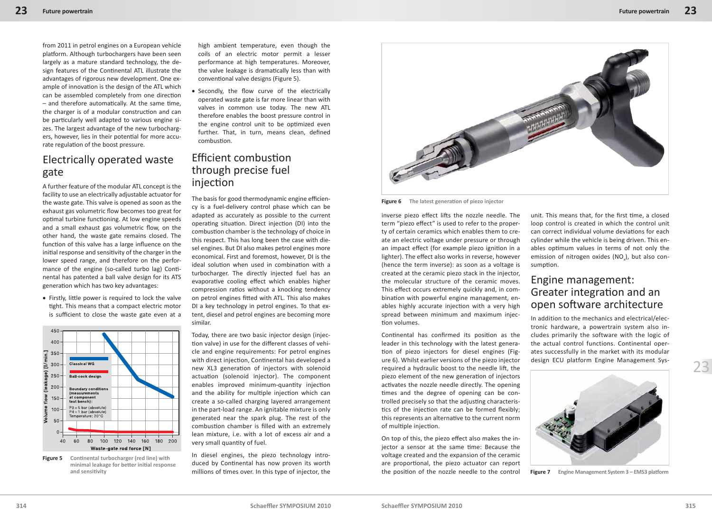from 2011 in petrol engines on a European vehicle platform. Although turbochargers have been seen largely as a mature standard technology, the design features of the Continental ATL illustrate the advantages of rigorous new development. One example of innovation is the design of the ATL which can be assembled completely from one direction  $-$  and therefore automatically. At the same time, the charger is of a modular construction and can be particularly well adapted to various engine sizes. The largest advantage of the new turbochargers, however, lies in their potential for more accurate regulation of the boost pressure.

## Electrically operated waste gate

A further feature of the modular ATL concept is the facility to use an electrically adjustable actuator for the waste gate. This valve is opened as soon as the exhaust gas volumetric flow becomes too great for optimal turbine functioning. At low engine speeds and a small exhaust gas volumetric flow, on the other hand, the waste gate remains closed. The function of this valve has a large influence on the initial response and sensitivity of the charger in the lower speed range, and therefore on the performance of the engine (so-called turbo lag) Continental has patented a ball valve design for its ATS generation which has two key advantages:

• Firstly, little power is required to lock the valve tight. This means that a compact electric motor is sufficient to close the waste gate even at a



**Figure 5** Continental turbocharger (red line) with **minimal leakage for better initial response and sensiti vity**

high ambient temperature, even though the coils of an electric motor permit a lesser performance at high temperatures. Moreover, the valve leakage is dramatically less than with conventional valve designs (Figure 5).

• Secondly, the flow curve of the electrically operated waste gate is far more linear than with valves in common use today. The new ATL therefore enables the boost pressure control in the engine control unit to be optimized even further. That, in turn, means clean, defined combustion.

### Efficient combustion through precise fuel injection

The basis for good thermodynamic engine efficiency is a fuel-delivery control phase which can be adapted as accurately as possible to the current operating situation. Direct injection (DI) into the combustion chamber is the technology of choice in this respect. This has long been the case with diesel engines. But DI also makes petrol engines more economical. First and foremost, however, DI is the ideal solution when used in combination with a turbocharger. The directly injected fuel has an evaporative cooling effect which enables higher compression ratios without a knocking tendency on petrol engines fitted with ATL. This also makes DI a key technology in petrol engines. To that extent, diesel and petrol engines are becoming more similar.

Today, there are two basic injector design (injection valve) in use for the different classes of vehicle and engine requirements: For petrol engines with direct injection, Continental has developed a new XL3 generation of injectors with solenoid actuation (solenoid injector). The component enables improved minimum-quantity injection and the ability for multiple injection which can create a so-called charging layered arrangement in the part-load range. An ignitable mixture is only generated near the spark plug. The rest of the combustion chamber is filled with an extremely lean mixture, i.e. with a lot of excess air and a very small quantity of fuel.

In diesel engines, the piezo technology introduced by Continental has now proven its worth millions of times over. In this type of injector, the



**Figure 6** The latest generation of piezo injector

inverse piezo effect lifts the nozzle needle. The term "piezo effect" is used to refer to the property of certain ceramics which enables them to create an electric voltage under pressure or through an impact effect (for example piezo ignition in a lighter). The effect also works in reverse, however (hence the term inverse): as soon as a voltage is created at the ceramic piezo stack in the injector, the molecular structure of the ceramic moves. This effect occurs extremely quickly and, in combination with powerful engine management, enables highly accurate injection with a very high spread between minimum and maximum injection volumes.

Continental has confirmed its position as the leader in this technology with the latest generation of piezo injectors for diesel engines (Figure 6). Whilst earlier versions of the piezo injector required a hydraulic boost to the needle lift, the piezo element of the new generation of injectors activates the nozzle needle directly. The opening times and the degree of opening can be controlled precisely so that the adjusting characteristics of the injection rate can be formed flexibly; this represents an alternative to the current norm of multiple injection.

On top of this, the piezo effect also makes the injector a sensor at the same time: Because the voltage created and the expansion of the ceramic are proportional, the piezo actuator can report the position of the nozzle needle to the control

unit. This means that, for the first time, a closed loop control is created in which the control unit can correct individual volume deviations for each cylinder while the vehicle is being driven. This enables optimum values in terms of not only the emission of nitrogen oxides (NO<sub>x</sub>), but also consumption.

#### Engine management: Greater integration and an open software architecture

In addition to the mechanics and electrical/electronic hardware, a powertrain system also includes primarily the software with the logic of the actual control functions. Continental operates successfully in the market with its modular design ECU platform Engine Management Sys-



**Figure 7** Engine Management System 3 – EMS3 platform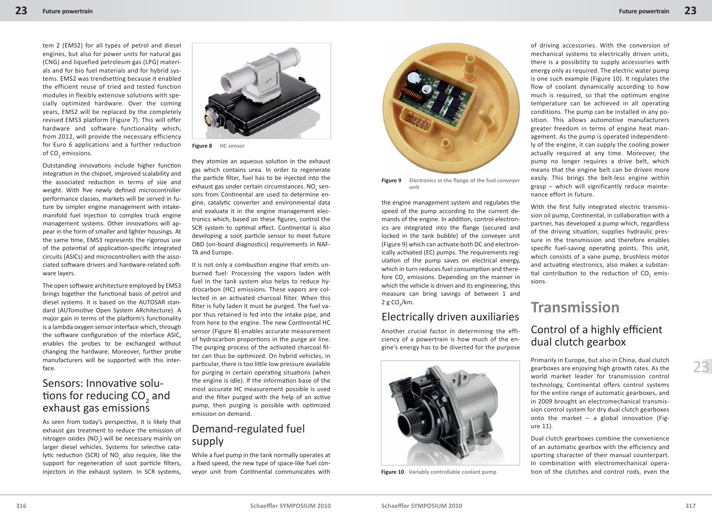tem 2 (EMS2) for all types of petrol and diesel engines, but also for power units for natural gas (CNG) and liquefied petroleum gas (LPG) materials and for bio fuel materials and for hybrid systems. EMS2 was trendsetting because it enabled the efficient reuse of tried and tested function modules in flexibly extensive solutions with specially optimized hardware. Over the coming years, EMS2 will be replaced by the completely revised EMS3 platform (Figure 7). This will offer hardware and software functionality which, from 2012, will provide the necessary efficiency for Euro 6 applications and a further reduction of CO $_{\textrm{\tiny{2}}}$  emissions.

Outstanding innovations include higher function integration in the chipset, improved scalability and the associated reduction in terms of size and weight. With five newly defined microcontroller performance classes, markets will be served in future by simpler engine management with intakemanifold fuel injection to complex truck engine management systems. Other innovations will appear in the form of smaller and lighter housings. At the same time, EMS3 represents the rigorous use of the potential of application-specific integrated circuits (ASICs) and microcontrollers with the associated software drivers and hardware-related software layers.

The open software architecture employed by EMS3 brings together the functional basis of petrol and diesel systems. It is based on the AUTOSAR standard (AUTomotive Open System ARchitecture). A major gain in terms of the platform's functionality is a lambda oxygen sensor interface which, through the software configuration of the interface ASIC. enables the probes to be exchanged without changing the hardware. Moreover, further probe manufacturers will be supported with this interface.

#### Sensors: Innovative solutions for reducing  $CO<sub>2</sub>$  and exhaust gas emissions

As seen from today's perspective, it is likely that exhaust gas treatment to reduce the emission of nitrogen oxides  $(NO<sub>x</sub>)$  will be necessary mainly on larger diesel vehicles. Systems for selective catalytic reduction (SCR) of NO<sub>x</sub> also require, like the support for regeneration of soot particle filters, injectors in the exhaust system. In SCR systems,



**Figure 8 HC sensor**

they atomize an aqueous solution in the exhaust gas which contains urea. In order to regenerate the particle filter, fuel has to be injected into the exhaust gas under certain circumstances. NO<sub>x</sub> sensors from Continental are used to determine engine, catalytic converter and environmental data and evaluate it in the engine management electronics which, based on these figures, control the SCR system to optimal effect. Continental is also developing a soot particle sensor to meet future OBD (on-board diagnostics) requirements in NAF-TA and Europe.

It is not only a combustion engine that emits unburned fuel: Processing the vapors laden with fuel in the tank system also helps to reduce hydrocarbon (HC) emissions. These vapors are collected in an activated charcoal filter. When this filter is fully laden it must be purged. The fuel vapor thus retained is fed into the intake pipe, and from here to the engine. The new Continental HC sensor (Figure 8) enables accurate measurement of hydrocarbon proportions in the purge air line. The purging process of the activated charcoal filter can thus be optimized. On hybrid vehicles, in particular, there is too little low pressure available for purging in certain operating situations (when the engine is idle). If the information base of the most accurate HC measurement possible is used and the filter purged with the help of an active pump, then purging is possible with optimized emission on demand.

### Demand-regulated fuel supply

While a fuel pump in the tank normally operates at a fixed speed, the new type of space-like fuel conveyor unit from Continental communicates with



Figure 9 Electronics in the flange of the fuel conveyer **unit**

the engine management system and regulates the speed of the pump according to the current demands of the engine. In addition, control electronics are integrated into the flange (secured and locked in the tank bubble) of the conveyer unit (Figure 9) which can activate both DC and electronically activated (EC) pumps. The requirements regulation of the pump saves on electrical energy, which in turn reduces fuel consumption and therefore  $CO_2$  emissions. Depending on the manner in which the vehicle is driven and its engineering, this measure can bring savings of between 1 and  $2 g CO<sub>2</sub>/km.$ 

#### Electrically driven auxiliaries

Another crucial factor in determining the efficiency of a powertrain is how much of the engine's energy has to be diverted for the purpose



**Figure 10 Variably controllable coolant pump**

of driving accessories. With the conversion of mechanical systems to electrically driven units, there is a possibility to supply accessories with energy only as required. The electric water pump is one such example (Figure 10). It regulates the flow of coolant dynamically according to how much is required, so that the optimum engine temperature can be achieved in all operating conditions. The pump can be installed in any position. This allows automotive manufacturers greater freedom in terms of engine heat management. As the pump is operated independently of the engine, it can supply the cooling power actually required at any time. Moreover, the pump no longer requires a drive belt, which means that the engine belt can be driven more easily. This brings the belt-less engine within grasp – which will significantly reduce maintenance effort in future.

With the first fully integrated electric transmission oil pump, Continental, in collaboration with a partner, has developed a pump which, regardless of the driving situation, supplies hydraulic pressure in the transmission and therefore enables specific fuel-saving operating points. This unit, which consists of a vane pump, brushless motor and actuating electronics, also makes a substantial contribution to the reduction of  $CO_2$  emissions.

## **Transmission** Control of a highly efficient dual clutch gearbox

Primarily in Europe, but also in China, dual clutch gearboxes are enjoying high growth rates. As the world market leader for transmission control technology, Continental offers control systems for the entire range of automatic gearboxes, and in 2009 brought an electromechanical transmission control system for dry dual clutch gearboxes onto the market – a global innovation (Figure 11).

Dual clutch gearboxes combine the convenience of an automatic gearbox with the efficiency and sporting character of their manual counterpart. In combination with electromechanical operation of the clutches and control rods, even the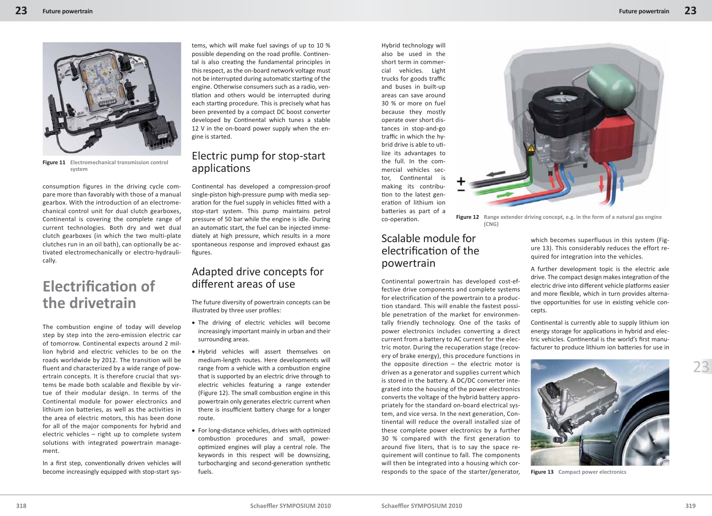

**Figure 11 Electromechanical transmission control system**

consumption figures in the driving cycle compare more than favorably with those of a manual gearbox. With the introduction of an electromechanical control unit for dual clutch gearboxes, Continental is covering the complete range of current technologies. Both dry and wet dual clutch gearboxes (in which the two multi-plate clutches run in an oil bath), can optionally be activated electromechanically or electro-hydraulically.

# **Electrification of the drivetrain**

The combustion engine of today will develop step by step into the zero-emission electric car of tomorrow. Continental expects around 2 million hybrid and electric vehicles to be on the roads worldwide by 2012. The transition will be fluent and characterized by a wide range of powertrain concepts. It is therefore crucial that systems be made both scalable and flexible by virtue of their modular design. In terms of the Continental module for power electronics and lithium ion batteries, as well as the activities in the area of electric motors, this has been done for all of the major components for hybrid and electric vehicles – right up to complete system solutions with integrated powertrain management.

In a first step, conventionally driven vehicles will become increasingly equipped with stop-start sys-

tems, which will make fuel savings of up to 10 % possible depending on the road profile. Continental is also creating the fundamental principles in this respect, as the on-board network voltage must not be interrupted during automatic starting of the engine. Otherwise consumers such as a radio, ventilation and others would be interrupted during each starting procedure. This is precisely what has been prevented by a compact DC boost converter developed by Continental which tunes a stable 12 V in the on-board power supply when the engine is started.

## Electric pump for stop-start applications

Continental has developed a compression-proof single-piston high-pressure pump with media separation for the fuel supply in vehicles fitted with a stop-start system. This pump maintains petrol pressure of 50 bar while the engine is idle. During an automatic start, the fuel can be injected immediately at high pressure, which results in a more spontaneous response and improved exhaust gas figures.

#### Adapted drive concepts for different areas of use

The future diversity of powertrain concepts can be illustrated by three user profiles:

- The driving of electric vehicles will become increasingly important mainly in urban and their surrounding areas.
- Hybrid vehicles will assert themselves on medium-length routes. Here developments will range from a vehicle with a combustion engine that is supported by an electric drive through to electric vehicles featuring a range extender (Figure 12). The small combustion engine in this powertrain only generates electric current when there is insufficient battery charge for a longer route.
- For long-distance vehicles, drives with optimized combustion procedures and small, poweroptimized engines will play a central role. The keywords in this respect will be downsizing, turbocharging and second-generation synthetic fuels.

Hybrid technology will also be used in the short term in commercial vehicles. Light trucks for goods traffic and buses in built-up areas can save around 30 % or more on fuel because they mostly operate over short distances in stop-and-go traffic in which the hybrid drive is able to utilize its advantages to the full. In the commercial vehicles sector, Continental is making its contribution to the latest generation of lithium ion batt eries as part of a co-operation.



**Figure 12 Range extender driving concept, e.g. in the form of a natural gas engine (CNG)**

### Scalable module for electrification of the powertrain

Continental powertrain has developed cost-effective drive components and complete systems for electrification of the powertrain to a production standard. This will enable the fastest possible penetration of the market for environmentally friendly technology. One of the tasks of power electronics includes converting a direct current from a battery to AC current for the electric motor. During the recuperation stage (recovery of brake energy), this procedure functions in the opposite direction – the electric motor is driven as a generator and supplies current which is stored in the battery. A DC/DC converter integrated into the housing of the power electronics converts the voltage of the hybrid battery appropriately for the standard on-board electrical system, and vice versa. In the next generation, Continental will reduce the overall installed size of these complete power electronics by a further 30 % compared with the first generation to around five liters, that is to say the space requirement will continue to fall. The components will then be integrated into a housing which corresponds to the space of the starter/generator,

which becomes superfluous in this system (Figure 13). This considerably reduces the effort required for integration into the vehicles.

A further development topic is the electric axle drive. The compact design makes integration of the electric drive into different vehicle platforms easier and more flexible, which in turn provides alternative opportunities for use in existing vehicle concepts.

Continental is currently able to supply lithium ion energy storage for applications in hybrid and electric vehicles. Continental is the world's first manufacturer to produce lithium ion batteries for use in



**Figure 13 Compact power electronics**